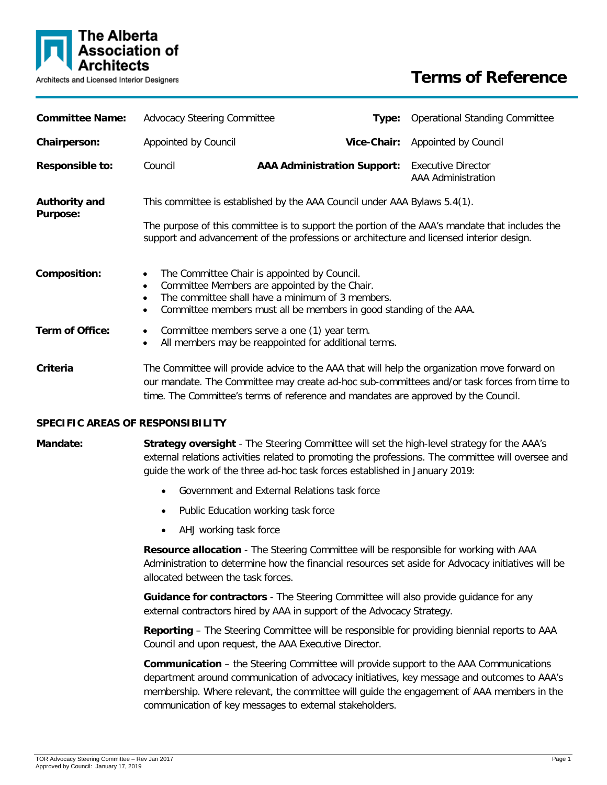

| <b>Committee Name:</b>                  | <b>Advocacy Steering Committee</b>                                                                                                                                                                                                                                          | Type:                                                                              | <b>Operational Standing Committee</b>                                                                                                                                                       |  |
|-----------------------------------------|-----------------------------------------------------------------------------------------------------------------------------------------------------------------------------------------------------------------------------------------------------------------------------|------------------------------------------------------------------------------------|---------------------------------------------------------------------------------------------------------------------------------------------------------------------------------------------|--|
| Chairperson:                            | Appointed by Council                                                                                                                                                                                                                                                        | Vice-Chair:                                                                        | Appointed by Council                                                                                                                                                                        |  |
| <b>Responsible to:</b>                  | Council                                                                                                                                                                                                                                                                     | <b>AAA Administration Support:</b>                                                 | <b>Executive Director</b><br>AAA Administration                                                                                                                                             |  |
| <b>Authority and</b><br><b>Purpose:</b> | This committee is established by the AAA Council under AAA Bylaws 5.4(1).                                                                                                                                                                                                   |                                                                                    |                                                                                                                                                                                             |  |
|                                         | The purpose of this committee is to support the portion of the AAA's mandate that includes the<br>support and advancement of the professions or architecture and licensed interior design.                                                                                  |                                                                                    |                                                                                                                                                                                             |  |
| Composition:                            | The Committee Chair is appointed by Council.<br>$\bullet$<br>Committee Members are appointed by the Chair.<br>$\bullet$<br>The committee shall have a minimum of 3 members.<br>$\bullet$<br>Committee members must all be members in good standing of the AAA.<br>$\bullet$ |                                                                                    |                                                                                                                                                                                             |  |
| <b>Term of Office:</b>                  | Committee members serve a one (1) year term.<br>$\bullet$<br>All members may be reappointed for additional terms.<br>$\bullet$                                                                                                                                              |                                                                                    |                                                                                                                                                                                             |  |
| Criteria                                |                                                                                                                                                                                                                                                                             | time. The Committee's terms of reference and mandates are approved by the Council. | The Committee will provide advice to the AAA that will help the organization move forward on<br>our mandate. The Committee may create ad-hoc sub-committees and/or task forces from time to |  |

#### **SPECIFIC AREAS OF RESPONSIBILITY**

# **Mandate: Strategy oversight** - The Steering Committee will set the high-level strategy for the AAA's external relations activities related to promoting the professions. The committee will oversee and guide the work of the three ad-hoc task forces established in January 2019:

- Government and External Relations task force
- Public Education working task force
- AHJ working task force

**Resource allocation** - The Steering Committee will be responsible for working with AAA Administration to determine how the financial resources set aside for Advocacy initiatives will be allocated between the task forces.

**Guidance for contractors** - The Steering Committee will also provide guidance for any external contractors hired by AAA in support of the Advocacy Strategy.

**Reporting** – The Steering Committee will be responsible for providing biennial reports to AAA Council and upon request, the AAA Executive Director.

**Communication** – the Steering Committee will provide support to the AAA Communications department around communication of advocacy initiatives, key message and outcomes to AAA's membership. Where relevant, the committee will guide the engagement of AAA members in the communication of key messages to external stakeholders.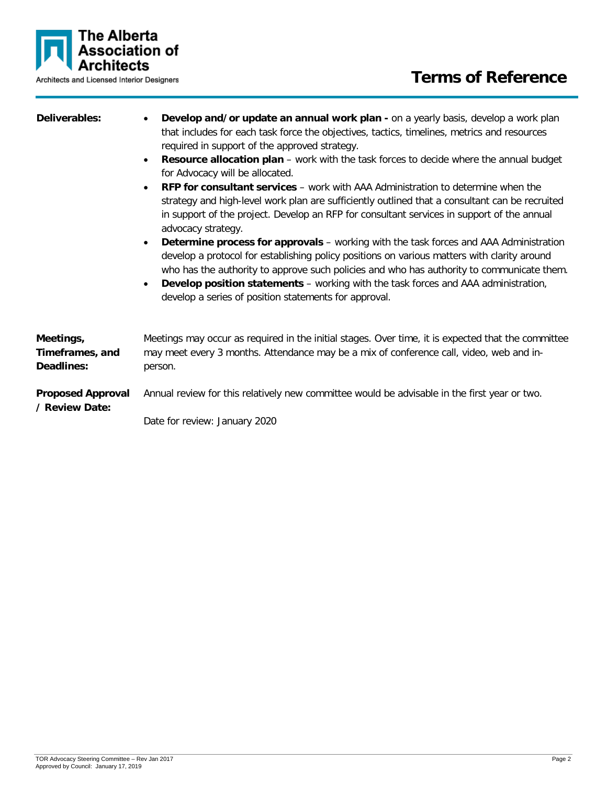

# **Terms of Reference**

- **Deliverables: Develop and/or update an annual work plan -** on a yearly basis, develop a work plan that includes for each task force the objectives, tactics, timelines, metrics and resources required in support of the approved strategy.
	- **Resource allocation plan** work with the task forces to decide where the annual budget for Advocacy will be allocated.
	- **RFP for consultant services** work with AAA Administration to determine when the strategy and high-level work plan are sufficiently outlined that a consultant can be recruited in support of the project. Develop an RFP for consultant services in support of the annual advocacy strategy.
	- **Determine process for approvals**  working with the task forces and AAA Administration develop a protocol for establishing policy positions on various matters with clarity around who has the authority to approve such policies and who has authority to communicate them.
	- **Develop position statements**  working with the task forces and AAA administration, develop a series of position statements for approval.

| Meetings,<br>Timeframes, and<br>Deadlines: | Meetings may occur as required in the initial stages. Over time, it is expected that the committee<br>may meet every 3 months. Attendance may be a mix of conference call, video, web and in-<br>person. |
|--------------------------------------------|----------------------------------------------------------------------------------------------------------------------------------------------------------------------------------------------------------|
| <b>Proposed Approval</b><br>/ Review Date: | Annual review for this relatively new committee would be advisable in the first year or two.                                                                                                             |
|                                            | Date for review: January 2020                                                                                                                                                                            |